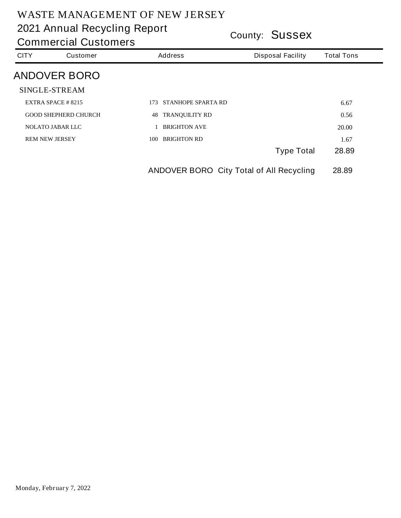|             | <b>Commercial Customers</b> |                                                 | <b>COUNTY: JUSSEX</b>    |                   |  |  |  |
|-------------|-----------------------------|-------------------------------------------------|--------------------------|-------------------|--|--|--|
| <b>CITY</b> | <b>Customer</b>             | <b>Address</b>                                  | <b>Disposal Facility</b> | <b>Total Tons</b> |  |  |  |
|             | <b>ANDOVER BORO</b>         |                                                 |                          |                   |  |  |  |
|             | <b>SINGLE-STREAM</b>        |                                                 |                          |                   |  |  |  |
|             | EXTRA SPACE $#8215$         | 173 STANHOPE SPARTA RD                          |                          | 6.67              |  |  |  |
|             | <b>GOOD SHEPHERD CHURCH</b> | <b>TRANQUILITY RD</b><br>48                     |                          | 0.56              |  |  |  |
|             | <b>NOLATO JABAR LLC</b>     | 1 BRIGHTON AVE                                  |                          | 20.00             |  |  |  |
|             | <b>REM NEW JERSEY</b>       | <b>BRIGHTON RD</b><br>100                       |                          | 1.67              |  |  |  |
|             |                             |                                                 | <b>Type Total</b>        | 28.89             |  |  |  |
|             |                             | <b>ANDOVER BORO</b> City Total of All Recycling |                          | 28.89             |  |  |  |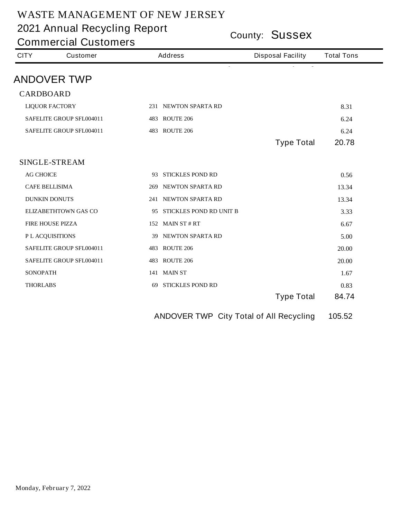**County: Sussex 2021 Annual Recycling Report**

| <b>Commercial Customers</b> |                                 |                            | County: <b>SUSSEX</b>    |                   |  |  |
|-----------------------------|---------------------------------|----------------------------|--------------------------|-------------------|--|--|
| <b>CITY</b>                 | <b>Customer</b>                 | <b>Address</b>             | <b>Disposal Facility</b> | <b>Total Tons</b> |  |  |
|                             | <b>ANDOVER TWP</b>              |                            |                          |                   |  |  |
| <b>CARDBOARD</b>            |                                 |                            |                          |                   |  |  |
|                             | <b>LIQUOR FACTORY</b>           | 231 NEWTON SPARTA RD       |                          | 8.31              |  |  |
|                             | <b>SAFELITE GROUP SFL004011</b> | <b>483 ROUTE 206</b>       |                          | 6.24              |  |  |
|                             | <b>SAFELITE GROUP SFL004011</b> | <b>483 ROUTE 206</b>       |                          | 6.24              |  |  |
|                             |                                 |                            | <b>Type Total</b>        | 20.78             |  |  |
|                             | <b>SINGLE-STREAM</b>            |                            |                          |                   |  |  |
| <b>AG CHOICE</b>            |                                 | 93 STICKLES POND RD        |                          | 0.56              |  |  |
|                             | <b>CAFE BELLISIMA</b>           | 269 NEWTON SPARTA RD       |                          | 13.34             |  |  |
|                             | <b>DUNKIN DONUTS</b>            | 241 NEWTON SPARTA RD       |                          | 13.34             |  |  |
|                             | <b>ELIZABETHTOWN GAS CO</b>     | 95 STICKLES POND RD UNIT B |                          | 3.33              |  |  |
|                             | <b>FIRE HOUSE PIZZA</b>         | 152 MAIN ST $# RT$         |                          | 6.67              |  |  |
|                             | PL ACQUISITIONS                 | 39 NEWTON SPARTA RD        |                          | 5.00              |  |  |
|                             | <b>SAFELITE GROUP SFL004011</b> | <b>483 ROUTE 206</b>       |                          | 20.00             |  |  |
|                             | <b>SAFELITE GROUP SFL004011</b> | <b>483 ROUTE 206</b>       |                          | 20.00             |  |  |
| <b>SONOPATH</b>             |                                 | 141 MAIN ST                |                          | 1.67              |  |  |
| <b>THORLABS</b>             |                                 | <b>69 STICKLES POND RD</b> |                          | 0.83              |  |  |
|                             |                                 |                            | <b>Type Total</b>        | 84.74             |  |  |

**ANDOVER TWP City Total of All Recycling 105.52**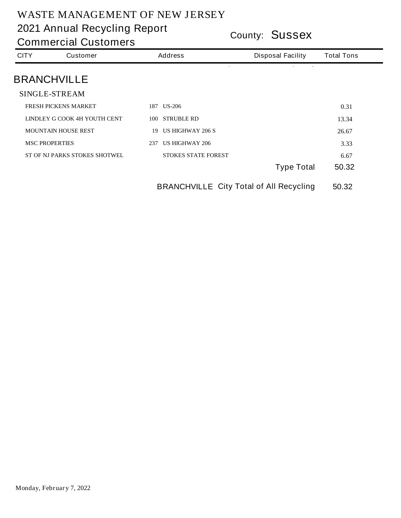**County: Sussex 2021 Annual Recycling Report**

| <b>CITY</b> | <b>Customer</b>                      | <b>Address</b>                | <b>Disposal Facility</b> | <b>Total Tons</b> |
|-------------|--------------------------------------|-------------------------------|--------------------------|-------------------|
|             | <b>BRANCHVILLE</b>                   |                               |                          |                   |
|             | <b>SINGLE-STREAM</b>                 |                               |                          |                   |
|             | <b>FRESH PICKENS MARKET</b>          | <b>US-206</b><br>187          |                          | 0.31              |
|             | LINDLEY G COOK 4H YOUTH CENT         | <b>STRUBLE RD</b><br>100      |                          | 13.34             |
|             | <b>MOUNTAIN HOUSE REST</b>           | <b>US HIGHWAY 206 S</b><br>19 |                          | 26.67             |
|             | <b>MSC PROPERTIES</b>                | <b>US HIGHWAY 206</b><br>237  |                          | 3.33              |
|             | <b>ST OF NJ PARKS STOKES SHOTWEL</b> | <b>STOKES STATE FOREST</b>    |                          | 6.67              |
|             |                                      |                               | <b>Type Total</b>        | 50.32             |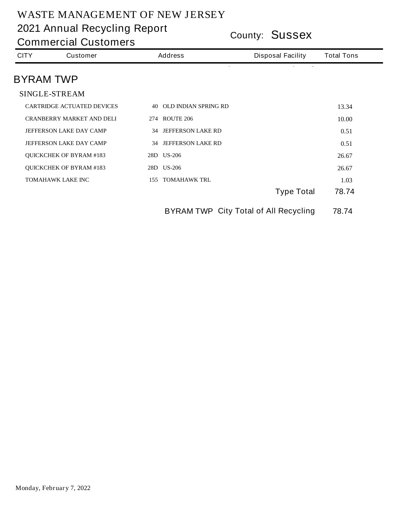**County: Sussex 2021 Annual Recycling Report**

| <b>CITY</b>      | <b>Customer</b>                   | <b>Disposal Facility</b><br><b>Address</b>   |                   | <b>Total Tons</b> |
|------------------|-----------------------------------|----------------------------------------------|-------------------|-------------------|
| <b>BYRAM TWP</b> |                                   |                                              |                   |                   |
|                  | <b>SINGLE-STREAM</b>              |                                              |                   |                   |
|                  | <b>CARTRIDGE ACTUATED DEVICES</b> | <b>40 OLD INDIAN SPRING RD</b>               |                   | 13.34             |
|                  | <b>CRANBERRY MARKET AND DELI</b>  | <b>274 ROUTE 206</b>                         |                   | 10.00             |
|                  | <b>JEFFERSON LAKE DAY CAMP</b>    | <b>34 JEFFERSON LAKE RD</b>                  |                   | 0.51              |
|                  | <b>JEFFERSON LAKE DAY CAMP</b>    | <b>34 JEFFERSON LAKE RD</b>                  |                   | 0.51              |
|                  | <b>QUICKCHEK OF BYRAM #183</b>    | 28D US-206                                   |                   | 26.67             |
|                  | <b>QUICKCHEK OF BYRAM #183</b>    | 28D US-206                                   |                   | 26.67             |
|                  | <b>TOMAHAWK LAKE INC</b>          | <b>155 TOMAHAWK TRL</b>                      |                   | 1.03              |
|                  |                                   |                                              | <b>Type Total</b> | 78.74             |
|                  |                                   | <b>BYRAM TWP City Total of All Recycling</b> |                   | 78.74             |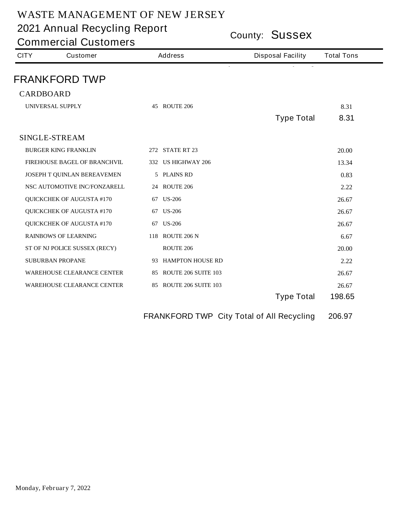**County: Sussex 2021 Annual Recycling Report**

| <b>Commercial Customers</b> |                                     |  |                               | County: <b>SUSSEX</b>    |                   |  |  |
|-----------------------------|-------------------------------------|--|-------------------------------|--------------------------|-------------------|--|--|
| <b>CITY</b>                 | <b>Customer</b>                     |  | <b>Address</b>                | <b>Disposal Facility</b> | <b>Total Tons</b> |  |  |
|                             | <b>FRANKFORD TWP</b>                |  |                               |                          |                   |  |  |
| <b>CARDBOARD</b>            |                                     |  |                               |                          |                   |  |  |
|                             | <b>UNIVERSAL SUPPLY</b>             |  | <b>45 ROUTE 206</b>           | <b>Type Total</b>        | 8.31<br>8.31      |  |  |
|                             | <b>SINGLE-STREAM</b>                |  |                               |                          |                   |  |  |
|                             | <b>BURGER KING FRANKLIN</b>         |  | <b>272 STATE RT 23</b>        |                          | 20.00             |  |  |
|                             | <b>FIREHOUSE BAGEL OF BRANCHVIL</b> |  | 332 US HIGHWAY 206            |                          | 13.34             |  |  |
|                             | JOSEPH T QUINLAN BEREAVEMEN         |  | 5 PLAINS RD                   |                          | 0.83              |  |  |
|                             | NSC AUTOMOTIVE INC/FONZARELL        |  | <b>24 ROUTE 206</b>           |                          | 2.22              |  |  |
|                             | <b>QUICKCHEK OF AUGUSTA #170</b>    |  | 67 US-206                     |                          | 26.67             |  |  |
|                             | <b>QUICKCHEK OF AUGUSTA #170</b>    |  | 67 US-206                     |                          | 26.67             |  |  |
|                             | <b>QUICKCHEK OF AUGUSTA #170</b>    |  | 67 US-206                     |                          | 26.67             |  |  |
|                             | <b>RAINBOWS OF LEARNING</b>         |  | 118 ROUTE 206 N               |                          | 6.67              |  |  |
|                             | ST OF NJ POLICE SUSSEX (RECY)       |  | <b>ROUTE 206</b>              |                          | 20.00             |  |  |
|                             | <b>SUBURBAN PROPANE</b>             |  | 93 HAMPTON HOUSE RD           |                          | 2.22              |  |  |
|                             | <b>WAREHOUSE CLEARANCE CENTER</b>   |  | 85 ROUTE 206 SUITE 103        |                          | 26.67             |  |  |
|                             | <b>WAREHOUSE CLEARANCE CENTER</b>   |  | <b>85 ROUTE 206 SUITE 103</b> |                          | 26.67             |  |  |
|                             |                                     |  |                               | <b>Type Total</b>        | 198.65            |  |  |
|                             |                                     |  |                               |                          |                   |  |  |

**FRANKFORD TWP City Total of All Recycling 206.97**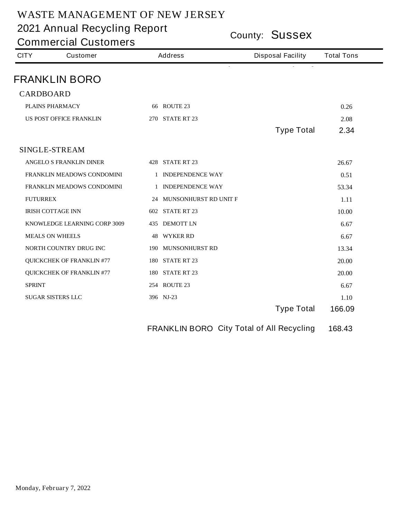**County: Sussex 2021 Annual Recycling Report**

**Commercial Customers**

| <b>CITY</b>      | <b>Customer</b>                     | <b>Address</b>           | <b>Disposal Facility</b> | <b>Total Tons</b> |
|------------------|-------------------------------------|--------------------------|--------------------------|-------------------|
|                  | <b>FRANKLIN BORO</b>                | ÷.                       |                          |                   |
| <b>CARDBOARD</b> |                                     |                          |                          |                   |
|                  | <b>PLAINS PHARMACY</b>              | <b>66 ROUTE 23</b>       |                          | 0.26              |
|                  | US POST OFFICE FRANKLIN             | <b>270 STATE RT 23</b>   |                          | 2.08              |
|                  |                                     |                          | <b>Type Total</b>        | 2.34              |
|                  | <b>SINGLE-STREAM</b>                |                          |                          |                   |
|                  | <b>ANGELO S FRANKLIN DINER</b>      | <b>428 STATE RT 23</b>   |                          | 26.67             |
|                  | FRANKLIN MEADOWS CONDOMINI          | 1 INDEPENDENCE WAY       |                          | 0.51              |
|                  | FRANKLIN MEADOWS CONDOMINI          | 1 INDEPENDENCE WAY       |                          | 53.34             |
| <b>FUTURREX</b>  |                                     | 24 MUNSONHURST RD UNIT F |                          | 1.11              |
|                  | <b>IRISH COTTAGE INN</b>            | <b>602 STATE RT 23</b>   |                          | 10.00             |
|                  | <b>KNOWLEDGE LEARNING CORP 3009</b> | <b>435 DEMOTT LN</b>     |                          | 6.67              |
|                  | <b>MEALS ON WHEELS</b>              | <b>48 WYKER RD</b>       |                          | 6.67              |
|                  | NORTH COUNTRY DRUG INC              | 190 MUNSONHURST RD       |                          | 13.34             |
|                  | <b>QUICKCHEK OF FRANKLIN #77</b>    | <b>180 STATE RT 23</b>   |                          | 20.00             |
|                  | <b>QUICKCHEK OF FRANKLIN #77</b>    | <b>180 STATE RT 23</b>   |                          | 20.00             |
| <b>SPRINT</b>    |                                     | <b>254 ROUTE 23</b>      |                          | 6.67              |
|                  | <b>SUGAR SISTERS LLC</b>            | 396 NJ-23                |                          | 1.10              |
|                  |                                     |                          | <b>Type Total</b>        | 166.09            |

**FRANKLIN BORO City Total of All Recycling 168.43**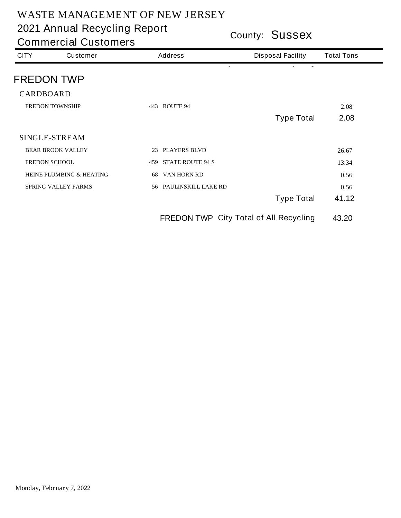**County: Sussex 2021 Annual Recycling Report**

| <b>CITY</b>            | <b>Customer</b>                               | <b>Address</b>                 | <b>Disposal Facility</b> | <b>Total Tons</b> |
|------------------------|-----------------------------------------------|--------------------------------|--------------------------|-------------------|
|                        | <b>FREDON TWP</b>                             |                                |                          |                   |
| <b>CARDBOARD</b>       |                                               |                                |                          |                   |
| <b>FREDON TOWNSHIP</b> |                                               | 443 ROUTE 94                   |                          | 2.08              |
|                        |                                               |                                | <b>Type Total</b>        | 2.08              |
|                        | <b>SINGLE-STREAM</b>                          |                                |                          |                   |
|                        | <b>BEAR BROOK VALLEY</b>                      | <b>PLAYERS BLVD</b><br>23      |                          | 26.67             |
|                        | <b>FREDON SCHOOL</b>                          | <b>STATE ROUTE 94 S</b><br>459 |                          | 13.34             |
|                        | <b>HEINE PLUMBING &amp; HEATING</b>           | VAN HORN RD<br>68              |                          | 0.56              |
|                        | <b>SPRING VALLEY FARMS</b>                    | 56 PAULINSKILL LAKE RD         |                          | 0.56              |
|                        |                                               |                                | <b>Type Total</b>        | 41.12             |
|                        | <b>FREDON TWP City Total of All Recycling</b> |                                |                          | 43.20             |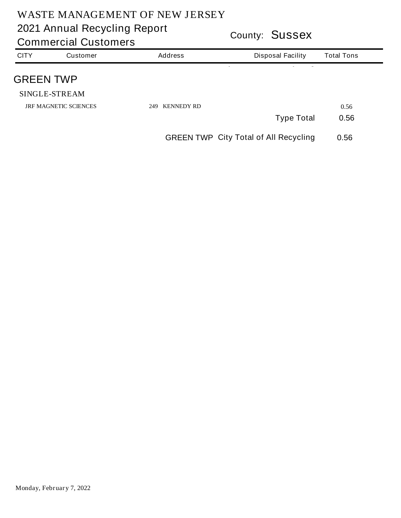|                  | <b>Commercial Customers</b>  |                          | COUTTLY: <b>OUSSEX</b>                       |                   |  |  |
|------------------|------------------------------|--------------------------|----------------------------------------------|-------------------|--|--|
| <b>CITY</b>      | <b>Customer</b>              | <b>Address</b>           | <b>Disposal Facility</b>                     | <b>Total Tons</b> |  |  |
| <b>GREEN TWP</b> |                              |                          |                                              |                   |  |  |
|                  | <b>SINGLE-STREAM</b>         |                          |                                              |                   |  |  |
|                  | <b>JRF MAGNETIC SCIENCES</b> | <b>KENNEDY RD</b><br>249 |                                              | 0.56              |  |  |
|                  |                              |                          | <b>Type Total</b>                            | 0.56              |  |  |
|                  |                              |                          | <b>GREEN TWP City Total of All Recycling</b> | 0.56              |  |  |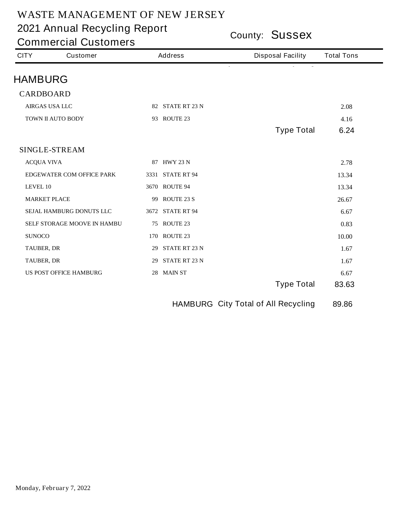**County: Sussex 2021 Annual Recycling Report**

**Commercial Customers**

| <b>CITY</b>       | <b>Customer</b>                  |    | <b>Address</b>       | <b>Disposal Facility</b> | <b>Total Tons</b> |
|-------------------|----------------------------------|----|----------------------|--------------------------|-------------------|
| <b>HAMBURG</b>    |                                  |    |                      | $\overline{\phantom{a}}$ |                   |
| <b>CARDBOARD</b>  |                                  |    |                      |                          |                   |
|                   | <b>AIRGAS USA LLC</b>            |    | 82 STATE RT 23 N     |                          | 2.08              |
|                   | TOWN II AUTO BODY                |    | 93 ROUTE 23          |                          | 4.16              |
|                   |                                  |    |                      | <b>Type Total</b>        | 6.24              |
|                   | <b>SINGLE-STREAM</b>             |    |                      |                          |                   |
| <b>ACQUA VIVA</b> |                                  |    | 87 HWY 23 N          |                          | 2.78              |
|                   | <b>EDGEWATER COM OFFICE PARK</b> |    | 3331 STATE RT 94     |                          | 13.34             |
| LEVEL 10          |                                  |    | 3670 ROUTE 94        |                          | 13.34             |
|                   | <b>MARKET PLACE</b>              | 99 | <b>ROUTE 23 S</b>    |                          | 26.67             |
|                   | SEJAL HAMBURG DONUTS LLC         |    | 3672 STATE RT 94     |                          | 6.67              |
|                   | SELF STORAGE MOOVE IN HAMBU      |    | <b>75 ROUTE 23</b>   |                          | 0.83              |
| <b>SUNOCO</b>     |                                  |    | <b>170 ROUTE 23</b>  |                          | 10.00             |
| <b>TAUBER, DR</b> |                                  | 29 | <b>STATE RT 23 N</b> |                          | 1.67              |
| <b>TAUBER, DR</b> |                                  | 29 | <b>STATE RT 23 N</b> |                          | 1.67              |
|                   | <b>US POST OFFICE HAMBURG</b>    |    | 28 MAIN ST           |                          | 6.67              |
|                   |                                  |    |                      | <b>Type Total</b>        | 83.63             |

**HAMBURG City Total of All Recycling 89.86**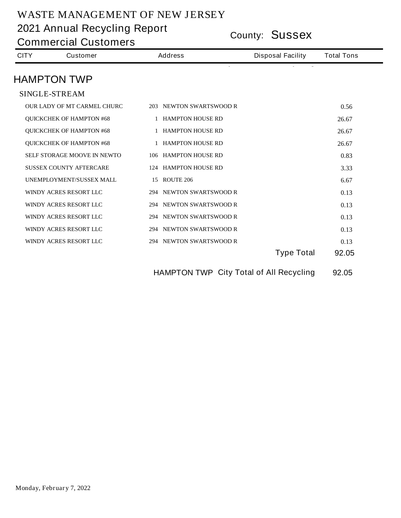| <b>Commercial Customers</b> |                                    |                             | COUNTY: OUSSEX                                 |                   |  |  |
|-----------------------------|------------------------------------|-----------------------------|------------------------------------------------|-------------------|--|--|
| <b>CITY</b>                 | <b>Customer</b>                    | <b>Address</b>              | <b>Disposal Facility</b>                       | <b>Total Tons</b> |  |  |
|                             | <b>HAMPTON TWP</b>                 |                             |                                                |                   |  |  |
|                             | <b>SINGLE-STREAM</b>               |                             |                                                |                   |  |  |
|                             | <b>OUR LADY OF MT CARMEL CHURC</b> | 203 NEWTON SWARTSWOOD R     |                                                | 0.56              |  |  |
|                             | <b>QUICKCHEK OF HAMPTON #68</b>    | <b>1 HAMPTON HOUSE RD</b>   |                                                | 26.67             |  |  |
|                             | <b>QUICKCHEK OF HAMPTON #68</b>    | <b>1 HAMPTON HOUSE RD</b>   |                                                | 26.67             |  |  |
|                             | <b>QUICKCHEK OF HAMPTON #68</b>    | <b>1 HAMPTON HOUSE RD</b>   |                                                | 26.67             |  |  |
|                             | <b>SELF STORAGE MOOVE IN NEWTO</b> | <b>106 HAMPTON HOUSE RD</b> |                                                | 0.83              |  |  |
|                             | <b>SUSSEX COUNTY AFTERCARE</b>     | <b>124 HAMPTON HOUSE RD</b> |                                                | 3.33              |  |  |
|                             | <b>UNEMPLOYMENT/SUSSEX MALL</b>    | <b>15 ROUTE 206</b>         |                                                | 6.67              |  |  |
|                             | <b>WINDY ACRES RESORT LLC</b>      | 294 NEWTON SWARTSWOOD R     |                                                | 0.13              |  |  |
|                             | <b>WINDY ACRES RESORT LLC</b>      | 294 NEWTON SWARTSWOOD R     |                                                | 0.13              |  |  |
|                             | <b>WINDY ACRES RESORT LLC</b>      | 294 NEWTON SWARTSWOOD R     |                                                | 0.13              |  |  |
|                             | <b>WINDY ACRES RESORT LLC</b>      | 294 NEWTON SWARTSWOOD R     |                                                | 0.13              |  |  |
|                             | WINDY ACRES RESORT LLC             | 294 NEWTON SWARTSWOOD R     |                                                | 0.13              |  |  |
|                             |                                    |                             | <b>Type Total</b>                              | 92.05             |  |  |
|                             |                                    |                             | <b>HAMPTON TWP City Total of All Recycling</b> | 92.05             |  |  |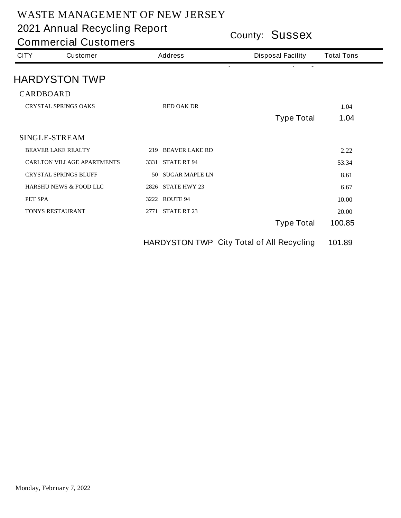**County: Sussex 2021 Annual Recycling Report**

| <b>CITY</b>      | <b>Customer</b>                   |    | <b>Address</b>           | <b>Disposal Facility</b>                  | <b>Total Tons</b> |
|------------------|-----------------------------------|----|--------------------------|-------------------------------------------|-------------------|
|                  | <b>HARDYSTON TWP</b>              |    |                          |                                           |                   |
| <b>CARDBOARD</b> |                                   |    |                          |                                           |                   |
|                  | <b>CRYSTAL SPRINGS OAKS</b>       |    | <b>RED OAK DR</b>        |                                           | 1.04              |
|                  |                                   |    |                          | <b>Type Total</b>                         | 1.04              |
|                  | <b>SINGLE-STREAM</b>              |    |                          |                                           |                   |
|                  | <b>BEAVER LAKE REALTY</b>         |    | 219 BEAVER LAKE RD       |                                           | 2.22              |
|                  | <b>CARLTON VILLAGE APARTMENTS</b> |    | 3331 STATE RT 94         |                                           | 53.34             |
|                  | <b>CRYSTAL SPRINGS BLUFF</b>      | 50 | <b>SUGAR MAPLE LN</b>    |                                           | 8.61              |
|                  | <b>HARSHU NEWS &amp; FOOD LLC</b> |    | <b>2826 STATE HWY 23</b> |                                           | 6.67              |
| PET SPA          |                                   |    | <b>3222 ROUTE 94</b>     |                                           | 10.00             |
|                  | <b>TONYS RESTAURANT</b>           |    | 2771 STATE RT 23         |                                           | 20.00             |
|                  |                                   |    |                          | <b>Type Total</b>                         | 100.85            |
|                  |                                   |    |                          | HARDYSTON TWP City Total of All Recycling | 101.89            |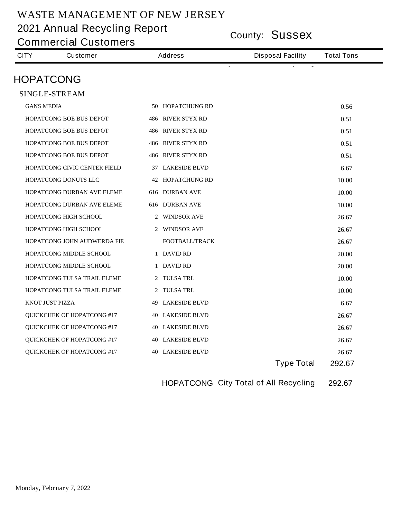**County: Sussex 2021 Annual Recycling Report**

**Commercial Customers**

| <b>CITY</b>       | <b>Customer</b>                     | <b>Address</b>           | <b>Disposal Facility</b> | <b>Total Tons</b> |
|-------------------|-------------------------------------|--------------------------|--------------------------|-------------------|
| <b>HOPATCONG</b>  |                                     |                          |                          |                   |
|                   | <b>SINGLE-STREAM</b>                |                          |                          |                   |
| <b>GANS MEDIA</b> |                                     | <b>50 HOPATCHUNG RD</b>  |                          | 0.56              |
|                   | <b>HOPATCONG BOE BUS DEPOT</b>      | <b>486 RIVER STYX RD</b> |                          | 0.51              |
|                   | <b>HOPATCONG BOE BUS DEPOT</b>      | <b>486 RIVER STYX RD</b> |                          | 0.51              |
|                   | <b>HOPATCONG BOE BUS DEPOT</b>      | <b>486 RIVER STYX RD</b> |                          | 0.51              |
|                   | <b>HOPATCONG BOE BUS DEPOT</b>      | <b>486 RIVER STYX RD</b> |                          | 0.51              |
|                   | <b>HOPATCONG CIVIC CENTER FIELD</b> | 37 LAKESIDE BLVD         |                          | 6.67              |
|                   | HOPATCONG DONUTS LLC                | <b>42 HOPATCHUNG RD</b>  |                          | 10.00             |
|                   | <b>HOPATCONG DURBAN AVE ELEME</b>   | <b>616 DURBAN AVE</b>    |                          | 10.00             |
|                   | <b>HOPATCONG DURBAN AVE ELEME</b>   | <b>616 DURBAN AVE</b>    |                          | 10.00             |
|                   | HOPATCONG HIGH SCHOOL               | 2 WINDSOR AVE            |                          | 26.67             |
|                   | <b>HOPATCONG HIGH SCHOOL</b>        | 2 WINDSOR AVE            |                          | 26.67             |
|                   | <b>HOPATCONG JOHN AUDWERDA FIE</b>  | <b>FOOTBALL/TRACK</b>    |                          | 26.67             |
|                   | HOPATCONG MIDDLE SCHOOL             | 1 DAVID RD               |                          | 20.00             |
|                   | <b>HOPATCONG MIDDLE SCHOOL</b>      | 1 DAVID RD               |                          | 20.00             |
|                   | <b>HOPATCONG TULSA TRAIL ELEME</b>  | 2 TULSA TRL              |                          | 10.00             |
|                   | <b>HOPATCONG TULSA TRAIL ELEME</b>  | 2 TULSA TRL              |                          | 10.00             |
| KNOT JUST PIZZA   |                                     | <b>49 LAKESIDE BLVD</b>  |                          | 6.67              |
|                   | <b>QUICKCHEK OF HOPATCONG #17</b>   | <b>40 LAKESIDE BLVD</b>  |                          | 26.67             |
|                   | <b>QUICKCHEK OF HOPATCONG#17</b>    | <b>40 LAKESIDE BLVD</b>  |                          | 26.67             |
|                   | <b>QUICKCHEK OF HOPATCONG#17</b>    | <b>40 LAKESIDE BLVD</b>  |                          | 26.67             |
|                   | <b>QUICKCHEK OF HOPATCONG #17</b>   | <b>40 LAKESIDE BLVD</b>  |                          | 26.67             |
|                   |                                     |                          | <b>Type Total</b>        | 292.67            |

**HOPATCONG City Total of All Recycling 292.67**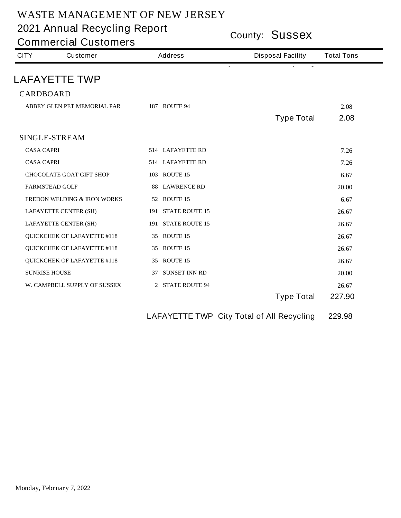**County: Sussex 2021 Annual Recycling Report**

**Commercial Customers**

| <b>CITY</b>          | <b>Customer</b>                        | <b>Address</b>          | <b>Disposal Facility</b> | <b>Total Tons</b> |
|----------------------|----------------------------------------|-------------------------|--------------------------|-------------------|
|                      | <b>LAFAYETTE TWP</b>                   |                         |                          |                   |
| <b>CARDBOARD</b>     |                                        |                         |                          |                   |
|                      | ABBEY GLEN PET MEMORIAL PAR            | <b>187 ROUTE 94</b>     |                          | 2.08              |
|                      |                                        |                         | <b>Type Total</b>        | 2.08              |
|                      |                                        |                         |                          |                   |
|                      | <b>SINGLE-STREAM</b>                   |                         |                          |                   |
| <b>CASA CAPRI</b>    |                                        | 514 LAFAYETTE RD        |                          | 7.26              |
| <b>CASA CAPRI</b>    |                                        | <b>514 LAFAYETTE RD</b> |                          | 7.26              |
|                      | <b>CHOCOLATE GOAT GIFT SHOP</b>        | <b>103 ROUTE 15</b>     |                          | 6.67              |
|                      | <b>FARMSTEAD GOLF</b>                  | <b>88 LAWRENCE RD</b>   |                          | 20.00             |
|                      | <b>FREDON WELDING &amp; IRON WORKS</b> | <b>52 ROUTE 15</b>      |                          | 6.67              |
|                      | <b>LAFAYETTE CENTER (SH)</b>           | 191 STATE ROUTE 15      |                          | 26.67             |
|                      | <b>LAFAYETTE CENTER (SH)</b>           | 191 STATE ROUTE 15      |                          | 26.67             |
|                      | <b>QUICKCHEK OF LAFAYETTE #118</b>     | 35 ROUTE 15             |                          | 26.67             |
|                      | <b>QUICKCHEK OF LAFAYETTE #118</b>     | 35 ROUTE 15             |                          | 26.67             |
|                      | <b>QUICKCHEK OF LAFAYETTE #118</b>     | 35 ROUTE 15             |                          | 26.67             |
| <b>SUNRISE HOUSE</b> |                                        | 37 SUNSET INN RD        |                          | 20.00             |
|                      | W. CAMPBELL SUPPLY OF SUSSEX           | 2 STATE ROUTE 94        |                          | 26.67             |
|                      |                                        |                         | <b>Type Total</b>        | 227.90            |

**LAFAYETTE TWP City Total of All Recycling 229.98**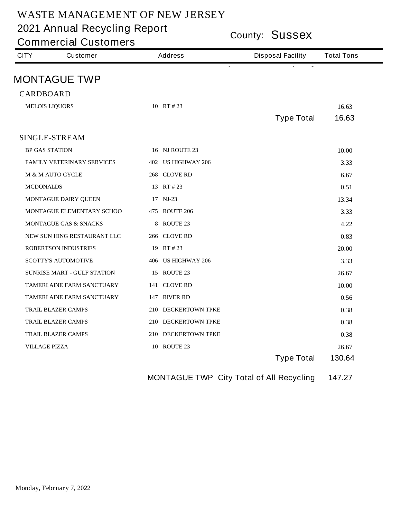**County: Sussex 2021 Annual Recycling Report**

**Commercial Customers**

|                                    |                                                                  | <b>Disposal Facility</b> | <b>Total Tons</b> |
|------------------------------------|------------------------------------------------------------------|--------------------------|-------------------|
|                                    |                                                                  |                          |                   |
|                                    |                                                                  |                          |                   |
|                                    |                                                                  |                          |                   |
|                                    |                                                                  |                          | 16.63<br>16.63    |
|                                    |                                                                  |                          |                   |
| <b>SINGLE-STREAM</b>               |                                                                  |                          |                   |
| <b>BP GAS STATION</b>              | 16 NJ ROUTE 23                                                   |                          | 10.00             |
| <b>FAMILY VETERINARY SERVICES</b>  | 402 US HIGHWAY 206                                               |                          | 3.33              |
| <b>M &amp; M AUTO CYCLE</b>        | 268 CLOVE RD                                                     |                          | 6.67              |
| <b>MCDONALDS</b>                   | 13 RT # 23                                                       |                          | 0.51              |
| <b>MONTAGUE DAIRY QUEEN</b>        | 17 NJ-23                                                         |                          | 13.34             |
| MONTAGUE ELEMENTARY SCHOO          | 475 ROUTE 206                                                    |                          | 3.33              |
| <b>MONTAGUE GAS &amp; SNACKS</b>   | <b>8 ROUTE 23</b>                                                |                          | 4.22              |
| NEW SUN HING RESTAURANT LLC        | 266 CLOVE RD                                                     |                          | 0.83              |
| <b>ROBERTSON INDUSTRIES</b>        | 19 RT # 23                                                       |                          | 20.00             |
| <b>SCOTTY'S AUTOMOTIVE</b>         | 406 US HIGHWAY 206                                               |                          | 3.33              |
| <b>SUNRISE MART - GULF STATION</b> | <b>15 ROUTE 23</b>                                               |                          | 26.67             |
| <b>TAMERLAINE FARM SANCTUARY</b>   | 141 CLOVE RD                                                     |                          | 10.00             |
| TAMERLAINE FARM SANCTUARY          | 147 RIVER RD                                                     |                          | 0.56              |
| <b>TRAIL BLAZER CAMPS</b>          | 210 DECKERTOWN TPKE                                              |                          | 0.38              |
| <b>TRAIL BLAZER CAMPS</b>          | 210 DECKERTOWN TPKE                                              |                          | 0.38              |
| <b>TRAIL BLAZER CAMPS</b>          | 210 DECKERTOWN TPKE                                              |                          | 0.38              |
| <b>VILLAGE PIZZA</b>               | <b>10 ROUTE 23</b>                                               |                          | 26.67             |
|                                    |                                                                  | <b>Type Total</b>        | 130.64            |
|                                    | <b>MONTAGUE TWP</b><br><b>CARDBOARD</b><br><b>MELOIS LIQUORS</b> | 10 RT # 23               | <b>Type Total</b> |

**MONTAGUE TWP City Total of All Recycling 147.27**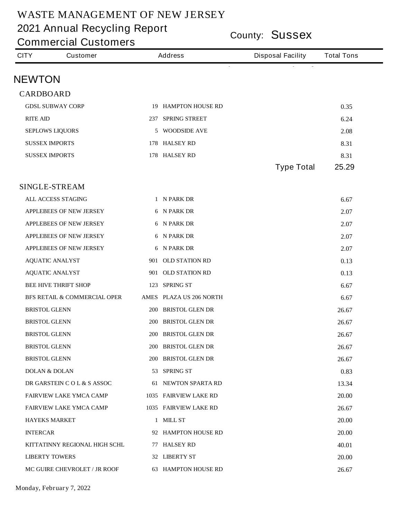**County: Sussex 2021 Annual Recycling Report**

**Commercial Customers**

| <b>CITY</b>          | <b>Customer</b>                         | <b>Address</b> |                            | <b>Disposal Facility</b> | <b>Total Tons</b> |
|----------------------|-----------------------------------------|----------------|----------------------------|--------------------------|-------------------|
| <b>NEWTON</b>        |                                         |                |                            |                          |                   |
| <b>CARDBOARD</b>     |                                         |                |                            |                          |                   |
|                      | <b>GDSL SUBWAY CORP</b>                 |                | <b>19 HAMPTON HOUSE RD</b> |                          | 0.35              |
| <b>RITE AID</b>      |                                         |                | 237 SPRING STREET          |                          | 6.24              |
|                      | <b>SEPLOWS LIQUORS</b>                  |                | 5 WOODSIDE AVE             |                          | 2.08              |
|                      | <b>SUSSEX IMPORTS</b>                   |                | 178 HALSEY RD              |                          | 8.31              |
|                      | <b>SUSSEX IMPORTS</b>                   |                | 178 HALSEY RD              |                          | 8.31              |
|                      |                                         |                |                            | <b>Type Total</b>        | 25.29             |
|                      | <b>SINGLE-STREAM</b>                    |                |                            |                          |                   |
|                      | <b>ALL ACCESS STAGING</b>               |                | 1 N PARK DR                |                          | 6.67              |
|                      | <b>APPLEBEES OF NEW JERSEY</b>          |                | 6 N PARK DR                |                          | 2.07              |
|                      | <b>APPLEBEES OF NEW JERSEY</b>          |                | 6 N PARK DR                |                          | 2.07              |
|                      | <b>APPLEBEES OF NEW JERSEY</b>          |                | 6 N PARK DR                |                          | 2.07              |
|                      | <b>APPLEBEES OF NEW JERSEY</b>          |                | 6 N PARK DR                |                          | 2.07              |
|                      | <b>AQUATIC ANALYST</b>                  |                | 901 OLD STATION RD         |                          | 0.13              |
|                      | <b>AQUATIC ANALYST</b>                  |                | 901 OLD STATION RD         |                          | 0.13              |
|                      | <b>BEE HIVE THRIFT SHOP</b>             |                | 123 SPRING ST              |                          | 6.67              |
|                      | <b>BFS RETAIL &amp; COMMERCIAL OPER</b> |                | AMES PLAZA US 206 NORTH    |                          | 6.67              |
| <b>BRISTOL GLENN</b> |                                         |                | 200 BRISTOL GLEN DR        |                          | 26.67             |
| <b>BRISTOL GLENN</b> |                                         |                | 200 BRISTOL GLEN DR        |                          | 26.67             |
| <b>BRISTOL GLENN</b> |                                         |                | 200 BRISTOL GLEN DR        |                          | 26.67             |
| <b>BRISTOL GLENN</b> |                                         |                | 200 BRISTOL GLEN DR        |                          | 26.67             |
| <b>BRISTOL GLENN</b> |                                         |                | 200 BRISTOL GLEN DR        |                          | 26.67             |
|                      | <b>DOLAN &amp; DOLAN</b>                |                | 53 SPRING ST               |                          | 0.83              |
|                      | DR GARSTEIN C O L & S ASSOC             |                | <b>61 NEWTON SPARTA RD</b> |                          | 13.34             |
|                      | <b>FAIRVIEW LAKE YMCA CAMP</b>          |                | 1035 FAIRVIEW LAKE RD      |                          | 20.00             |
|                      | <b>FAIRVIEW LAKE YMCA CAMP</b>          |                | 1035 FAIRVIEW LAKE RD      |                          | 26.67             |
|                      | <b>HAYEKS MARKET</b>                    |                | 1 MILL ST                  |                          | 20.00             |
| <b>INTERCAR</b>      |                                         |                | 92 HAMPTON HOUSE RD        |                          | 20.00             |
|                      | KITTATINNY REGIONAL HIGH SCHL           |                | 77 HALSEY RD               |                          | 40.01             |
|                      | <b>LIBERTY TOWERS</b>                   |                | 32 LIBERTY ST              |                          | 20.00             |
|                      | <b>MC GUIRE CHEVROLET / JR ROOF</b>     |                | <b>63 HAMPTON HOUSE RD</b> |                          | 26.67             |

**Monday, February 7, 2022**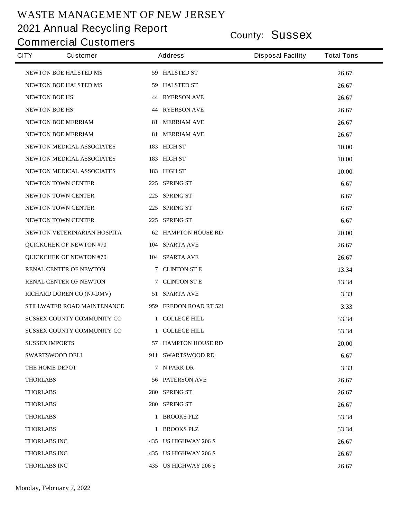**County: Sussex 2021 Annual Recycling Report**

| <b>CITY</b>          | <b>Customer</b>                  | <b>Address</b>             | <b>Disposal Facility</b> | <b>Total Tons</b> |  |
|----------------------|----------------------------------|----------------------------|--------------------------|-------------------|--|
|                      | <b>NEWTON BOE HALSTED MS</b>     | 59 HALSTED ST              |                          | 26.67             |  |
|                      | <b>NEWTON BOE HALSTED MS</b>     | 59 HALSTED ST              |                          | 26.67             |  |
| <b>NEWTON BOE HS</b> |                                  | <b>44 RYERSON AVE</b>      |                          | 26.67             |  |
| <b>NEWTON BOE HS</b> |                                  | <b>44 RYERSON AVE</b>      |                          | 26.67             |  |
|                      | <b>NEWTON BOE MERRIAM</b>        | <b>81 MERRIAM AVE</b>      |                          | 26.67             |  |
|                      | <b>NEWTON BOE MERRIAM</b>        | <b>81 MERRIAM AVE</b>      |                          | 26.67             |  |
|                      | <b>NEWTON MEDICAL ASSOCIATES</b> | 183 HIGH ST                |                          | 10.00             |  |
|                      | NEWTON MEDICAL ASSOCIATES        | 183 HIGH ST                |                          | 10.00             |  |
|                      | <b>NEWTON MEDICAL ASSOCIATES</b> | 183 HIGH ST                |                          | 10.00             |  |
|                      | <b>NEWTON TOWN CENTER</b>        | 225 SPRING ST              |                          | 6.67              |  |
|                      | <b>NEWTON TOWN CENTER</b>        | 225 SPRING ST              |                          | 6.67              |  |
|                      | NEWTON TOWN CENTER               | 225 SPRING ST              |                          | 6.67              |  |
|                      | NEWTON TOWN CENTER               | 225 SPRING ST              |                          | 6.67              |  |
|                      | NEWTON VETERINARIAN HOSPITA      | <b>62 HAMPTON HOUSE RD</b> |                          | 20.00             |  |
|                      | <b>QUICKCHEK OF NEWTON #70</b>   | 104 SPARTA AVE             |                          | 26.67             |  |
|                      | <b>QUICKCHEK OF NEWTON #70</b>   | 104 SPARTA AVE             |                          | 26.67             |  |
|                      | <b>RENAL CENTER OF NEWTON</b>    | 7 CLINTON ST E             |                          | 13.34             |  |
|                      | <b>RENAL CENTER OF NEWTON</b>    | 7 CLINTON ST E             |                          | 13.34             |  |
|                      | RICHARD DOREN CO (NJ-DMV)        | 51 SPARTA AVE              |                          | 3.33              |  |
|                      | STILLWATER ROAD MAINTENANCE      | 959 FREDON ROAD RT 521     |                          | 3.33              |  |
|                      | SUSSEX COUNTY COMMUNITY CO       | 1 COLLEGE HILL             |                          | 53.34             |  |
|                      | SUSSEX COUNTY COMMUNITY CO       | 1 COLLEGE HILL             |                          | 53.34             |  |
|                      | <b>SUSSEX IMPORTS</b>            | 57 HAMPTON HOUSE RD        |                          | 20.00             |  |
|                      | <b>SWARTSWOOD DELI</b>           | 911 SWARTSWOOD RD          |                          | 6.67              |  |
|                      | THE HOME DEPOT                   | 7 N PARK DR                |                          | 3.33              |  |
| <b>THORLABS</b>      |                                  | <b>56 PATERSON AVE</b>     |                          | 26.67             |  |
| <b>THORLABS</b>      |                                  | 280 SPRING ST              |                          | 26.67             |  |
| <b>THORLABS</b>      |                                  | 280 SPRING ST              |                          | 26.67             |  |
| <b>THORLABS</b>      |                                  | 1 BROOKS PLZ               |                          | 53.34             |  |
| <b>THORLABS</b>      |                                  | 1 BROOKS PLZ               |                          | 53.34             |  |
| <b>THORLABS INC</b>  |                                  | 435 US HIGHWAY 206 S       |                          | 26.67             |  |
| <b>THORLABS INC</b>  |                                  | 435 US HIGHWAY 206 S       |                          | 26.67             |  |
| <b>THORLABS INC</b>  |                                  | 435 US HIGHWAY 206 S       |                          | 26.67             |  |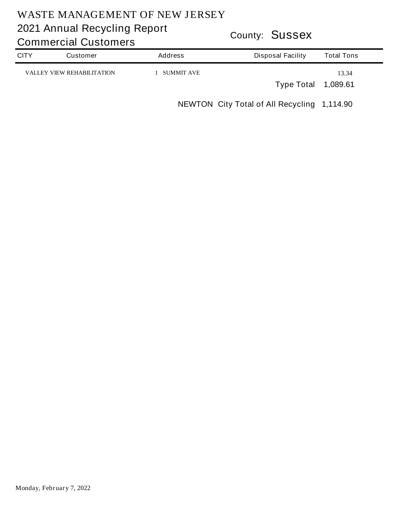# **County: Sussex 2021 Annual Recycling Report**

**CITY Customer Address Total Tons Disposal Facility Commercial Customers VALLEY VIEW REHABILITATION 1 SUMMIT AVE 13.34 Type Total 1,089.61**

**NEWTON City Total of All Recycling 1,114.90**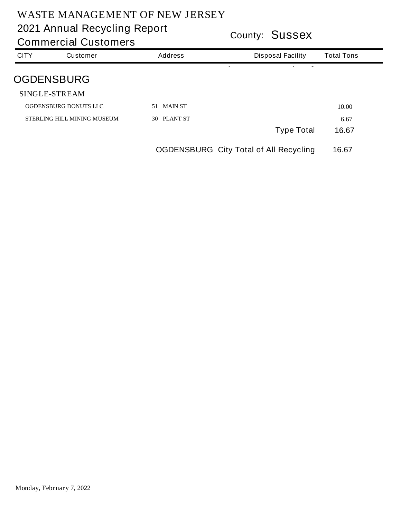| COUTTLY: <b>OUSSEX</b><br><b>Commercial Customers</b> |                                    |                                               |                   |  |  |
|-------------------------------------------------------|------------------------------------|-----------------------------------------------|-------------------|--|--|
| <b>CITY</b>                                           | <b>Customer</b>                    | <b>Address</b><br><b>Disposal Facility</b>    | <b>Total Tons</b> |  |  |
|                                                       | <b>OGDENSBURG</b>                  |                                               |                   |  |  |
|                                                       | <b>SINGLE-STREAM</b>               |                                               |                   |  |  |
|                                                       | <b>OGDENSBURG DONUTS LLC</b>       | 51 MAIN ST                                    | 10.00             |  |  |
|                                                       | <b>STERLING HILL MINING MUSEUM</b> | PLANT ST<br><b>30</b>                         | 6.67              |  |  |
|                                                       |                                    | <b>Type Total</b>                             | 16.67             |  |  |
|                                                       |                                    | <b>OGDENSBURG City Total of All Recycling</b> | 16.67             |  |  |
|                                                       |                                    |                                               |                   |  |  |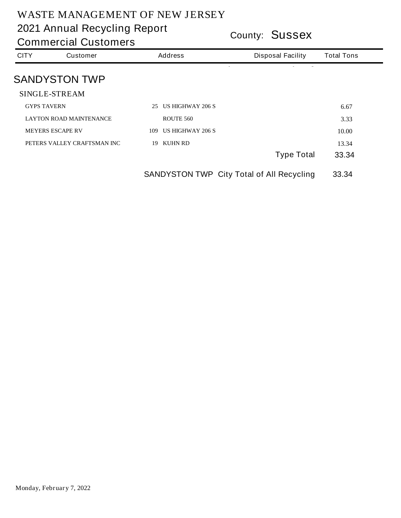**County: Sussex 2021 Annual Recycling Report**

| <b>CITY</b>        | <b>Customer</b>                | <b>Address</b>                 | <b>Disposal Facility</b> | <b>Total Tons</b> |
|--------------------|--------------------------------|--------------------------------|--------------------------|-------------------|
|                    | <b>SANDYSTON TWP</b>           |                                |                          |                   |
|                    | <b>SINGLE-STREAM</b>           |                                |                          |                   |
| <b>GYPS TAVERN</b> |                                | <b>US HIGHWAY 206 S</b><br>25  |                          | 6.67              |
|                    | <b>LAYTON ROAD MAINTENANCE</b> | <b>ROUTE 560</b>               |                          | 3.33              |
|                    | <b>MEYERS ESCAPE RV</b>        | <b>US HIGHWAY 206 S</b><br>109 |                          | 10.00             |
|                    | PETERS VALLEY CRAFTSMAN INC    | <b>KUHN RD</b><br>19           |                          | 13.34             |
|                    |                                |                                | <b>Type Total</b>        | 33.34             |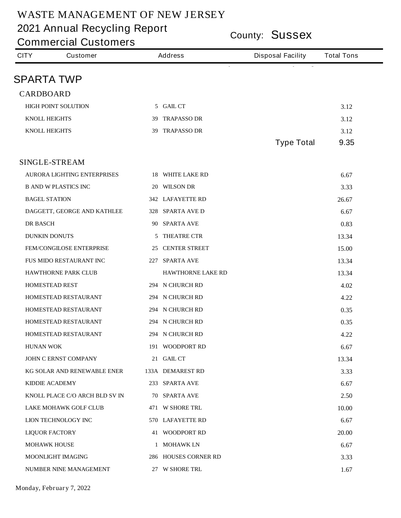**County: Sussex 2021 Annual Recycling Report**

**Commercial Customers**

| <b>CITY</b>      | <b>Customer</b>                    |   | <b>Address</b>           | <b>Disposal Facility</b> | <b>Total Tons</b> |  |
|------------------|------------------------------------|---|--------------------------|--------------------------|-------------------|--|
|                  | SPARTA TWP                         |   |                          |                          |                   |  |
| <b>CARDBOARD</b> |                                    |   |                          |                          |                   |  |
|                  | <b>HIGH POINT SOLUTION</b>         |   | 5 GAIL CT                |                          | 3.12              |  |
|                  | <b>KNOLL HEIGHTS</b>               |   | 39 TRAPASSO DR           |                          | 3.12              |  |
|                  | <b>KNOLL HEIGHTS</b>               |   | 39 TRAPASSO DR           |                          | 3.12              |  |
|                  |                                    |   |                          | <b>Type Total</b>        | 9.35              |  |
|                  | <b>SINGLE-STREAM</b>               |   |                          |                          |                   |  |
|                  | <b>AURORA LIGHTING ENTERPRISES</b> |   | <b>18 WHITE LAKE RD</b>  |                          | 6.67              |  |
|                  | <b>B AND W PLASTICS INC</b>        |   | 20 WILSON DR             |                          | 3.33              |  |
|                  | <b>BAGEL STATION</b>               |   | 342 LAFAYETTE RD         |                          | 26.67             |  |
|                  | DAGGETT, GEORGE AND KATHLEE        |   | 328 SPARTA AVE D         |                          | 6.67              |  |
| <b>DR BASCH</b>  |                                    |   | 90 SPARTA AVE            |                          | 0.83              |  |
|                  | <b>DUNKIN DONUTS</b>               | 5 | <b>THEATRE CTR</b>       |                          | 13.34             |  |
|                  | <b>FEM/CONGILOSE ENTERPRISE</b>    |   | <b>25 CENTER STREET</b>  |                          | 15.00             |  |
|                  | FUS MIDO RESTAURANT INC            |   | 227 SPARTA AVE           |                          | 13.34             |  |
|                  | <b>HAWTHORNE PARK CLUB</b>         |   | <b>HAWTHORNE LAKE RD</b> |                          | 13.34             |  |
|                  | <b>HOMESTEAD REST</b>              |   | 294 N CHURCH RD          |                          | 4.02              |  |
|                  | <b>HOMESTEAD RESTAURANT</b>        |   | 294 N CHURCH RD          |                          | 4.22              |  |
|                  | HOMESTEAD RESTAURANT               |   | 294 N CHURCH RD          |                          | 0.35              |  |
|                  | <b>HOMESTEAD RESTAURANT</b>        |   | 294 N CHURCH RD          |                          | 0.35              |  |
|                  | HOMESTEAD RESTAURANT               |   | 294 N CHURCH RD          |                          | 4.22              |  |
| <b>HUNAN WOK</b> |                                    |   | 191 WOODPORT RD          |                          | 6.67              |  |
|                  | <b>JOHN C ERNST COMPANY</b>        |   | 21 GAIL CT               |                          | 13.34             |  |
|                  | KG SOLAR AND RENEWABLE ENER        |   | <b>133A DEMAREST RD</b>  |                          | 3.33              |  |
|                  | <b>KIDDIE ACADEMY</b>              |   | 233 SPARTA AVE           |                          | 6.67              |  |
|                  | KNOLL PLACE C/O ARCH BLD SV IN     |   | <b>70 SPARTA AVE</b>     |                          | 2.50              |  |
|                  | <b>LAKE MOHAWK GOLF CLUB</b>       |   | 471 W SHORE TRL          |                          | 10.00             |  |
|                  | LION TECHNOLOGY INC                |   | 570 LAFAYETTE RD         |                          | 6.67              |  |
|                  | <b>LIQUOR FACTORY</b>              |   | <b>41 WOODPORT RD</b>    |                          | 20.00             |  |
|                  | <b>MOHAWK HOUSE</b>                |   | 1 MOHAWK LN              |                          | 6.67              |  |
|                  | <b>MOONLIGHT IMAGING</b>           |   | 286 HOUSES CORNER RD     |                          | 3.33              |  |
|                  | <b>NUMBER NINE MANAGEMENT</b>      |   | 27 W SHORE TRL           |                          | 1.67              |  |

**Monday, February 7, 2022**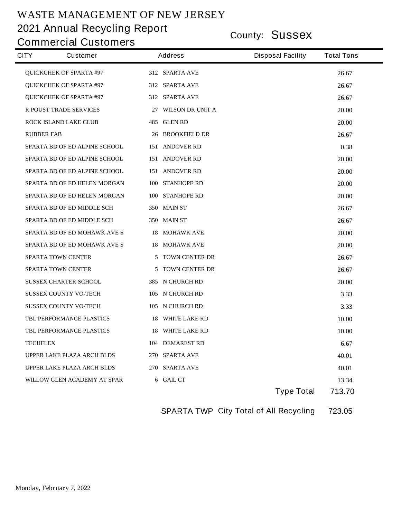# **County: Sussex 2021 Annual Recycling Report**

### **Commercial Customers**

| <b>CITY</b><br><b>Customer</b>       | <b>Address</b>              | <b>Disposal Facility</b> | <b>Total Tons</b> |
|--------------------------------------|-----------------------------|--------------------------|-------------------|
| <b>QUICKCHEK OF SPARTA #97</b>       | 312 SPARTA AVE              |                          | 26.67             |
| <b>QUICKCHEK OF SPARTA #97</b>       | 312 SPARTA AVE              |                          | 26.67             |
| <b>QUICKCHEK OF SPARTA #97</b>       | 312 SPARTA AVE              |                          | 26.67             |
| <b>R POUST TRADE SERVICES</b>        | 27 WILSON DR UNIT A         |                          | 20.00             |
| <b>ROCK ISLAND LAKE CLUB</b>         | 485 GLEN RD                 |                          | 20.00             |
| <b>RUBBER FAB</b>                    | <b>26 BROOKFIELD DR</b>     |                          | 26.67             |
| <b>SPARTA BD OF ED ALPINE SCHOOL</b> | <b>151 ANDOVER RD</b>       |                          | 0.38              |
| <b>SPARTA BD OF ED ALPINE SCHOOL</b> | <b>151 ANDOVER RD</b>       |                          | 20.00             |
| <b>SPARTA BD OF ED ALPINE SCHOOL</b> | <b>151 ANDOVER RD</b>       |                          | 20.00             |
| <b>SPARTA BD OF ED HELEN MORGAN</b>  | 100 STANHOPE RD             |                          | 20.00             |
| <b>SPARTA BD OF ED HELEN MORGAN</b>  | 100 STANHOPE RD             |                          | 20.00             |
| <b>SPARTA BD OF ED MIDDLE SCH</b>    | <b>350 MAIN ST</b>          |                          | 26.67             |
| <b>SPARTA BD OF ED MIDDLE SCH</b>    | 350 MAIN ST                 |                          | 26.67             |
| SPARTA BD OF ED MOHAWK AVE S         | <b>18 MOHAWK AVE</b>        |                          | 20.00             |
| <b>SPARTA BD OF ED MOHAWK AVE S</b>  | <b>18 MOHAWK AVE</b>        |                          | 20.00             |
| <b>SPARTA TOWN CENTER</b>            | <b>TOWN CENTER DR</b><br>5. |                          | 26.67             |
| <b>SPARTA TOWN CENTER</b>            | <b>TOWN CENTER DR</b><br>5  |                          | 26.67             |
| <b>SUSSEX CHARTER SCHOOL</b>         | 385 N CHURCH RD             |                          | 20.00             |
| <b>SUSSEX COUNTY VO-TECH</b>         | 105 N CHURCH RD             |                          | 3.33              |
| <b>SUSSEX COUNTY VO-TECH</b>         | 105 N CHURCH RD             |                          | 3.33              |
| <b>TBL PERFORMANCE PLASTICS</b>      | <b>18 WHITE LAKE RD</b>     |                          | 10.00             |
| <b>TBL PERFORMANCE PLASTICS</b>      | <b>18 WHITE LAKE RD</b>     |                          | 10.00             |
| <b>TECHFLEX</b>                      | <b>104 DEMAREST RD</b>      |                          | 6.67              |
| <b>UPPER LAKE PLAZA ARCH BLDS</b>    | 270 SPARTA AVE              |                          | 40.01             |
| <b>UPPER LAKE PLAZA ARCH BLDS</b>    | 270 SPARTA AVE              |                          | 40.01             |
| WILLOW GLEN ACADEMY AT SPAR          | 6 GAIL CT                   |                          | 13.34             |
|                                      |                             | <b>Type Total</b>        | 713.70            |

**SPARTA TWP City Total of All Recycling 723.05**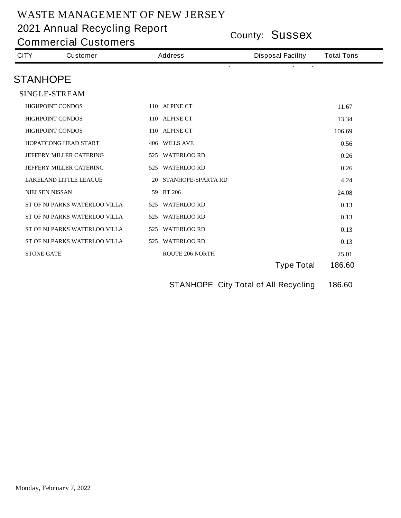**County: Sussex 2021 Annual Recycling Report**

| <b>CITY</b>           | <b>Customer</b>                      | <b>Address</b>         | <b>Disposal Facility</b>                    | <b>Total Tons</b> |
|-----------------------|--------------------------------------|------------------------|---------------------------------------------|-------------------|
| <b>STANHOPE</b>       |                                      |                        |                                             |                   |
|                       | <b>SINGLE-STREAM</b>                 |                        |                                             |                   |
|                       | <b>HIGHPOINT CONDOS</b>              | 110 ALPINE CT          |                                             | 11.67             |
|                       | <b>HIGHPOINT CONDOS</b>              | 110 ALPINE CT          |                                             | 13.34             |
|                       | <b>HIGHPOINT CONDOS</b>              | 110 ALPINE CT          |                                             | 106.69            |
|                       | <b>HOPATCONG HEAD START</b>          | 406 WILLS AVE          |                                             | 0.56              |
|                       | <b>JEFFERY MILLER CATERING</b>       | 525 WATERLOO RD        |                                             | 0.26              |
|                       | <b>JEFFERY MILLER CATERING</b>       | 525 WATERLOO RD        |                                             | 0.26              |
|                       | <b>LAKELAND LITTLE LEAGUE</b>        | 20 STANHOPE-SPARTA RD  |                                             | 4.24              |
| <b>NIELSEN NISSAN</b> |                                      | 59 RT 206              |                                             | 24.08             |
|                       | <b>ST OF NJ PARKS WATERLOO VILLA</b> | 525 WATERLOO RD        |                                             | 0.13              |
|                       | ST OF NJ PARKS WATERLOO VILLA        | 525 WATERLOO RD        |                                             | 0.13              |
|                       | ST OF NJ PARKS WATERLOO VILLA        | 525 WATERLOO RD        |                                             | 0.13              |
|                       | <b>ST OF NJ PARKS WATERLOO VILLA</b> | 525 WATERLOO RD        |                                             | 0.13              |
| <b>STONE GATE</b>     |                                      | <b>ROUTE 206 NORTH</b> |                                             | 25.01             |
|                       |                                      |                        | <b>Type Total</b>                           | 186.60            |
|                       |                                      |                        | <b>STANHOPE City Total of All Recycling</b> | 186.60            |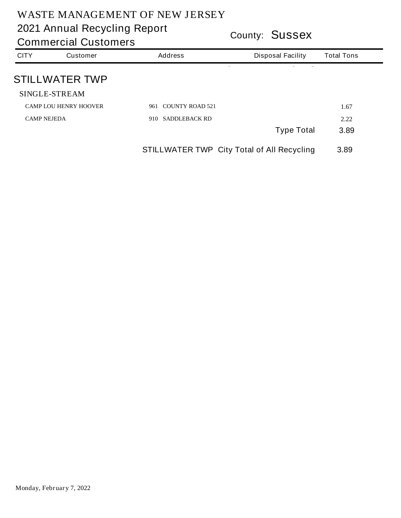|                    | <b>Commercial Customers</b>  |                                                   | <b>COUNTY: JUSSEX</b>    |                   |  |  |
|--------------------|------------------------------|---------------------------------------------------|--------------------------|-------------------|--|--|
| <b>CITY</b>        | <b>Customer</b>              | <b>Address</b>                                    | <b>Disposal Facility</b> | <b>Total Tons</b> |  |  |
|                    | <b>STILLWATER TWP</b>        |                                                   |                          |                   |  |  |
|                    | <b>SINGLE-STREAM</b>         |                                                   |                          |                   |  |  |
|                    | <b>CAMP LOU HENRY HOOVER</b> | 961 COUNTY ROAD 521                               |                          | 1.67              |  |  |
| <b>CAMP NEJEDA</b> |                              | <b>SADDLEBACK RD</b><br>910-                      |                          | 2.22              |  |  |
|                    |                              |                                                   | <b>Type Total</b>        | 3.89              |  |  |
|                    |                              | <b>STILLWATER TWP City Total of All Recycling</b> |                          | 3.89              |  |  |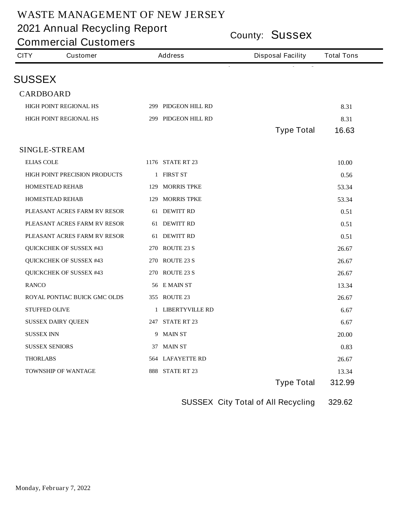**County: Sussex 2021 Annual Recycling Report**

**Commercial Customers**

| <b>SUSSEX</b><br><b>CARDBOARD</b><br><b>HIGH POINT REGIONAL HS</b><br>299 PIDGEON HILL RD<br>8.31<br><b>HIGH POINT REGIONAL HS</b><br>299 PIDGEON HILL RD<br>8.31<br><b>Type Total</b><br>16.63<br><b>SINGLE-STREAM</b><br><b>ELIAS COLE</b><br><b>1176 STATE RT 23</b><br>10.00<br><b>HIGH POINT PRECISION PRODUCTS</b><br>1 FIRST ST<br>0.56<br><b>HOMESTEAD REHAB</b><br><b>129 MORRIS TPKE</b><br>53.34<br><b>129 MORRIS TPKE</b><br><b>HOMESTEAD REHAB</b><br>53.34 | <b>CITY</b><br><b>Customer</b> | <b>Address</b> | <b>Disposal Facility</b> | <b>Total Tons</b> |
|--------------------------------------------------------------------------------------------------------------------------------------------------------------------------------------------------------------------------------------------------------------------------------------------------------------------------------------------------------------------------------------------------------------------------------------------------------------------------|--------------------------------|----------------|--------------------------|-------------------|
|                                                                                                                                                                                                                                                                                                                                                                                                                                                                          |                                |                |                          |                   |
|                                                                                                                                                                                                                                                                                                                                                                                                                                                                          |                                |                |                          |                   |
|                                                                                                                                                                                                                                                                                                                                                                                                                                                                          |                                |                |                          |                   |
|                                                                                                                                                                                                                                                                                                                                                                                                                                                                          |                                |                |                          |                   |
|                                                                                                                                                                                                                                                                                                                                                                                                                                                                          |                                |                |                          |                   |
|                                                                                                                                                                                                                                                                                                                                                                                                                                                                          |                                |                |                          |                   |
|                                                                                                                                                                                                                                                                                                                                                                                                                                                                          |                                |                |                          |                   |
|                                                                                                                                                                                                                                                                                                                                                                                                                                                                          |                                |                |                          |                   |
|                                                                                                                                                                                                                                                                                                                                                                                                                                                                          |                                |                |                          |                   |
|                                                                                                                                                                                                                                                                                                                                                                                                                                                                          |                                |                |                          |                   |
|                                                                                                                                                                                                                                                                                                                                                                                                                                                                          |                                |                |                          |                   |
|                                                                                                                                                                                                                                                                                                                                                                                                                                                                          | PLEASANT ACRES FARM RV RESOR   | 61 DEWITT RD   |                          | 0.51              |
| PLEASANT ACRES FARM RV RESOR<br>61 DEWITT RD<br>0.51                                                                                                                                                                                                                                                                                                                                                                                                                     |                                |                |                          |                   |
| PLEASANT ACRES FARM RV RESOR<br>61 DEWITT RD<br>0.51                                                                                                                                                                                                                                                                                                                                                                                                                     |                                |                |                          |                   |
| <b>QUICKCHEK OF SUSSEX #43</b><br>270 ROUTE 23 S<br>26.67                                                                                                                                                                                                                                                                                                                                                                                                                |                                |                |                          |                   |
| <b>QUICKCHEK OF SUSSEX #43</b><br>270 ROUTE 23 S<br>26.67                                                                                                                                                                                                                                                                                                                                                                                                                |                                |                |                          |                   |
| <b>QUICKCHEK OF SUSSEX #43</b><br>270 ROUTE 23 S<br>26.67                                                                                                                                                                                                                                                                                                                                                                                                                |                                |                |                          |                   |
| <b>RANCO</b><br>56 EMAIN ST<br>13.34                                                                                                                                                                                                                                                                                                                                                                                                                                     |                                |                |                          |                   |
| <b>ROYAL PONTIAC BUICK GMC OLDS</b><br>355 ROUTE 23<br>26.67                                                                                                                                                                                                                                                                                                                                                                                                             |                                |                |                          |                   |
| <b>STUFFED OLIVE</b><br>1 LIBERTYVILLE RD<br>6.67                                                                                                                                                                                                                                                                                                                                                                                                                        |                                |                |                          |                   |
| 247 STATE RT 23<br><b>SUSSEX DAIRY QUEEN</b><br>6.67                                                                                                                                                                                                                                                                                                                                                                                                                     |                                |                |                          |                   |
| <b>SUSSEX INN</b><br>9 MAIN ST<br>20.00                                                                                                                                                                                                                                                                                                                                                                                                                                  |                                |                |                          |                   |
| <b>SUSSEX SENIORS</b><br>37 MAIN ST<br>0.83                                                                                                                                                                                                                                                                                                                                                                                                                              |                                |                |                          |                   |
| <b>THORLABS</b><br><b>564 LAFAYETTE RD</b><br>26.67                                                                                                                                                                                                                                                                                                                                                                                                                      |                                |                |                          |                   |
| 888 STATE RT 23<br><b>TOWNSHIP OF WANTAGE</b><br>13.34                                                                                                                                                                                                                                                                                                                                                                                                                   |                                |                |                          |                   |
| <b>Type Total</b><br>312.99                                                                                                                                                                                                                                                                                                                                                                                                                                              |                                |                |                          |                   |

**SUSSEX City Total of All Recycling 329.62**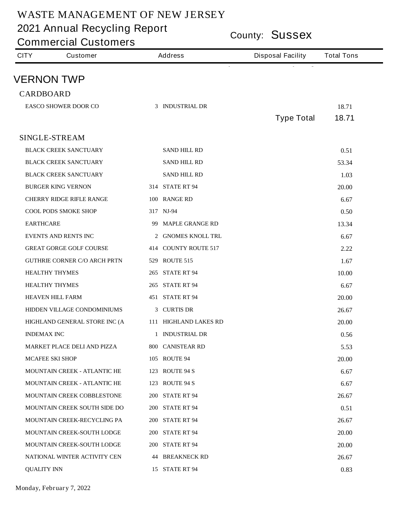**County: Sussex 2021 Annual Recycling Report**

| County: <b>SUSSEX</b><br><b>Commercial Customers</b> |                                     |  |                        |                          |                   |
|------------------------------------------------------|-------------------------------------|--|------------------------|--------------------------|-------------------|
| <b>CITY</b>                                          | <b>Customer</b>                     |  | <b>Address</b>         | <b>Disposal Facility</b> | <b>Total Tons</b> |
|                                                      | <b>VERNON TWP</b>                   |  |                        |                          |                   |
| <b>CARDBOARD</b>                                     |                                     |  |                        |                          |                   |
|                                                      | <b>EASCO SHOWER DOOR CO</b>         |  | 3 INDUSTRIAL DR        |                          | 18.71             |
|                                                      |                                     |  |                        | <b>Type Total</b>        | 18.71             |
|                                                      |                                     |  |                        |                          |                   |
|                                                      | <b>SINGLE-STREAM</b>                |  |                        |                          |                   |
|                                                      | <b>BLACK CREEK SANCTUARY</b>        |  | <b>SAND HILL RD</b>    |                          | 0.51              |
|                                                      | <b>BLACK CREEK SANCTUARY</b>        |  | <b>SAND HILL RD</b>    |                          | 53.34             |
|                                                      | <b>BLACK CREEK SANCTUARY</b>        |  | <b>SAND HILL RD</b>    |                          | 1.03              |
|                                                      | <b>BURGER KING VERNON</b>           |  | <b>314 STATE RT 94</b> |                          | 20.00             |
|                                                      | <b>CHERRY RIDGE RIFLE RANGE</b>     |  | 100 RANGE RD           |                          | 6.67              |
|                                                      | <b>COOL PODS SMOKE SHOP</b>         |  | 317 NJ-94              |                          | 0.50              |
| <b>EARTHCARE</b>                                     |                                     |  | 99 MAPLE GRANGE RD     |                          | 13.34             |
|                                                      | <b>EVENTS AND RENTS INC</b>         |  | 2 GNOMES KNOLL TRL     |                          | 6.67              |
|                                                      | <b>GREAT GORGE GOLF COURSE</b>      |  | 414 COUNTY ROUTE 517   |                          | 2.22              |
|                                                      | <b>GUTHRIE CORNER C/O ARCH PRTN</b> |  | 529 ROUTE 515          |                          | 1.67              |
|                                                      | <b>HEALTHY THYMES</b>               |  | <b>265 STATE RT 94</b> |                          | 10.00             |
|                                                      | <b>HEALTHY THYMES</b>               |  | <b>265 STATE RT 94</b> |                          | 6.67              |
|                                                      | <b>HEAVEN HILL FARM</b>             |  | <b>451 STATE RT 94</b> |                          | 20.00             |
|                                                      | <b>HIDDEN VILLAGE CONDOMINIUMS</b>  |  | 3 CURTIS DR            |                          | 26.67             |
|                                                      | HIGHLAND GENERAL STORE INC (A       |  | 111 HIGHLAND LAKES RD  |                          | 20.00             |
| <b>INDEMAX INC</b>                                   |                                     |  | 1 INDUSTRIAL DR        |                          | 0.56              |
|                                                      | <b>MARKET PLACE DELI AND PIZZA</b>  |  | 800 CANISTEAR RD       |                          | 5.53              |
|                                                      | <b>MCAFEE SKI SHOP</b>              |  | <b>105 ROUTE 94</b>    |                          | 20.00             |
|                                                      | <b>MOUNTAIN CREEK - ATLANTIC HE</b> |  | <b>123 ROUTE 94 S</b>  |                          | 6.67              |
|                                                      | <b>MOUNTAIN CREEK - ATLANTIC HE</b> |  | <b>123 ROUTE 94 S</b>  |                          | 6.67              |
|                                                      | MOUNTAIN CREEK COBBLESTONE          |  | <b>200 STATE RT 94</b> |                          | 26.67             |
|                                                      | <b>MOUNTAIN CREEK SOUTH SIDE DO</b> |  | <b>200 STATE RT 94</b> |                          | 0.51              |
|                                                      | <b>MOUNTAIN CREEK-RECYCLING PA</b>  |  | <b>200 STATE RT 94</b> |                          | 26.67             |
|                                                      | MOUNTAIN CREEK-SOUTH LODGE          |  | <b>200 STATE RT 94</b> |                          | 20.00             |
|                                                      | MOUNTAIN CREEK-SOUTH LODGE          |  | <b>200 STATE RT 94</b> |                          | 20.00             |
|                                                      | NATIONAL WINTER ACTIVITY CEN        |  | <b>44 BREAKNECK RD</b> |                          | 26.67             |
| <b>QUALITY INN</b>                                   |                                     |  | 15 STATE RT 94         |                          | 0.83              |

**Monday, February 7, 2022**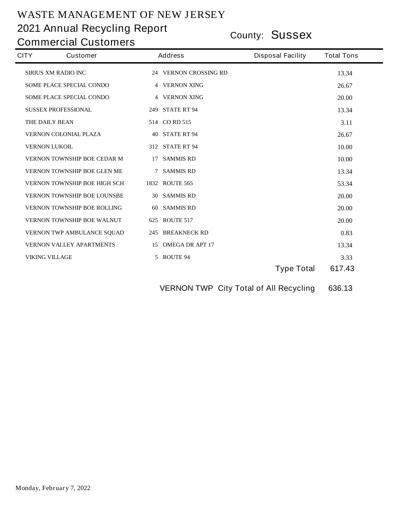# **County: Sussex 2021 Annual Recycling Report**

**Commercial Customers**

| <b>CITY</b> | <b>Customer</b>                     |    | <b>Address</b>          | <b>Disposal Facility</b> | <b>Total Tons</b> |
|-------------|-------------------------------------|----|-------------------------|--------------------------|-------------------|
|             | <b>SIRIUS XM RADIO INC</b>          |    | 24 VERNON CROSSING RD   |                          | 13.34             |
|             | <b>SOME PLACE SPECIAL CONDO</b>     |    | <b>4 VERNON XING</b>    |                          | 26.67             |
|             | <b>SOME PLACE SPECIAL CONDO</b>     |    | <b>4 VERNON XING</b>    |                          | 20.00             |
|             | <b>SUSSEX PROFESSIONAL</b>          |    | <b>249 STATE RT 94</b>  |                          | 13.34             |
|             | THE DAILY BEAN                      |    | 514 CORD 515            |                          | 3.11              |
|             | <b>VERNON COLONIAL PLAZA</b>        |    | <b>40 STATE RT 94</b>   |                          | 26.67             |
|             | <b>VERNON LUKOIL</b>                |    | <b>312 STATE RT 94</b>  |                          | 10.00             |
|             | <b>VERNON TOWNSHIP BOE CEDAR M</b>  | 17 | <b>SAMMIS RD</b>        |                          | 10.00             |
|             | <b>VERNON TOWNSHIP BOE GLEN ME</b>  | 7  | <b>SAMMIS RD</b>        |                          | 13.34             |
|             | <b>VERNON TOWNSHIP BOE HIGH SCH</b> |    | <b>1832 ROUTE 565</b>   |                          | 53.34             |
|             | <b>VERNON TOWNSHIP BOE LOUNSBE</b>  |    | 30 SAMMIS RD            |                          | 20.00             |
|             | <b>VERNON TOWNSHIP BOE ROLLING</b>  | 60 | <b>SAMMIS RD</b>        |                          | 20.00             |
|             | <b>VERNON TOWNSHIP BOE WALNUT</b>   |    | 625 ROUTE 517           |                          | 20.00             |
|             | <b>VERNON TWP AMBULANCE SQUAD</b>   |    | <b>245 BREAKNECK RD</b> |                          | 0.83              |
|             | <b>VERNON VALLEY APARTMENTS</b>     |    | 15 OMEGA DR APT 17      |                          | 13.34             |
|             | <b>VIKING VILLAGE</b>               |    | 5 ROUTE 94              |                          | 3.33              |
|             |                                     |    |                         | <b>Type Total</b>        | 617.43            |
|             |                                     |    |                         |                          |                   |

**VERNON TWP City Total of All Recycling 636.13**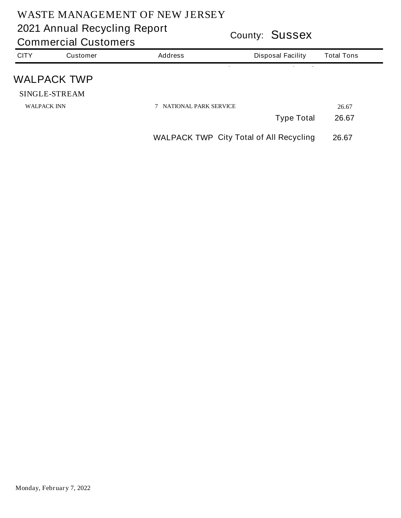|                    | <b>Commercial Customers</b> | <b>COUNTY: JUSSEX</b>                          |                          |                   |  |
|--------------------|-----------------------------|------------------------------------------------|--------------------------|-------------------|--|
| <b>CITY</b>        | <b>Customer</b>             | <b>Address</b>                                 | <b>Disposal Facility</b> | <b>Total Tons</b> |  |
|                    | <b>WALPACK TWP</b>          |                                                |                          |                   |  |
|                    | <b>SINGLE-STREAM</b>        |                                                |                          |                   |  |
| <b>WALPACK INN</b> |                             | <b>7 NATIONAL PARK SERVICE</b>                 |                          | 26.67             |  |
|                    |                             |                                                | <b>Type Total</b>        | 26.67             |  |
|                    |                             | <b>WALPACK TWP City Total of All Recycling</b> |                          | 26.67             |  |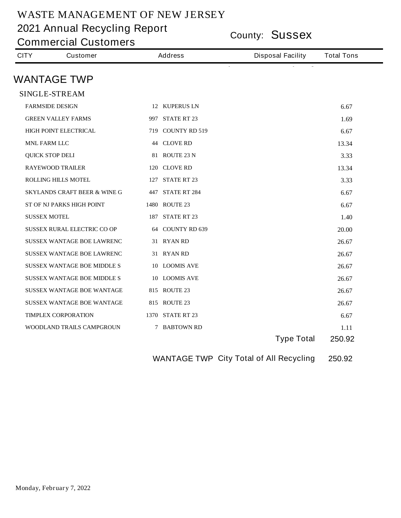**County: Sussex 2021 Annual Recycling Report**

**Commercial Customers**

| <b>CITY</b>         | <b>Customer</b>                         | <b>Address</b> |                         | <b>Disposal Facility</b> | <b>Total Tons</b> |
|---------------------|-----------------------------------------|----------------|-------------------------|--------------------------|-------------------|
|                     | <b>WANTAGE TWP</b>                      |                |                         |                          |                   |
|                     | <b>SINGLE-STREAM</b>                    |                |                         |                          |                   |
|                     | <b>FARMSIDE DESIGN</b>                  |                | 12 KUPERUS LN           |                          | 6.67              |
|                     |                                         |                | 997 STATE RT 23         |                          |                   |
|                     | <b>GREEN VALLEY FARMS</b>               |                |                         |                          | 1.69              |
|                     | <b>HIGH POINT ELECTRICAL</b>            |                | 719 COUNTY RD 519       |                          | 6.67              |
| <b>MNL FARM LLC</b> |                                         |                | <b>44 CLOVE RD</b>      |                          | 13.34             |
|                     | <b>QUICK STOP DELI</b>                  |                | 81 ROUTE 23 N           |                          | 3.33              |
|                     | <b>RAYEWOOD TRAILER</b>                 |                | 120 CLOVE RD            |                          | 13.34             |
|                     | <b>ROLLING HILLS MOTEL</b>              |                | <b>127 STATE RT 23</b>  |                          | 3.33              |
|                     | <b>SKYLANDS CRAFT BEER &amp; WINE G</b> |                | <b>447 STATE RT 284</b> |                          | 6.67              |
|                     | ST OF NJ PARKS HIGH POINT               |                | 1480 ROUTE 23           |                          | 6.67              |
| <b>SUSSEX MOTEL</b> |                                         |                | <b>187 STATE RT 23</b>  |                          | 1.40              |
|                     | <b>SUSSEX RURAL ELECTRIC CO OP</b>      |                | 64 COUNTY RD 639        |                          | 20.00             |
|                     | <b>SUSSEX WANTAGE BOE LAWRENC</b>       |                | 31 RYAN RD              |                          | 26.67             |
|                     | <b>SUSSEX WANTAGE BOE LAWRENC</b>       |                | 31 RYAN RD              |                          | 26.67             |
|                     | <b>SUSSEX WANTAGE BOE MIDDLE S</b>      |                | 10 LOOMIS AVE           |                          | 26.67             |
|                     | <b>SUSSEX WANTAGE BOE MIDDLE S</b>      |                | 10 LOOMIS AVE           |                          | 26.67             |
|                     | <b>SUSSEX WANTAGE BOE WANTAGE</b>       |                | 815 ROUTE 23            |                          | 26.67             |
|                     | <b>SUSSEX WANTAGE BOE WANTAGE</b>       |                | <b>815 ROUTE 23</b>     |                          | 26.67             |
|                     | <b>TIMPLEX CORPORATION</b>              |                | <b>1370 STATE RT 23</b> |                          | 6.67              |
|                     | WOODLAND TRAILS CAMPGROUN               |                | <b>7 BABTOWN RD</b>     |                          | 1.11              |
|                     |                                         |                |                         | <b>Type Total</b>        | 250.92            |

**WANTAGE TWP City Total of All Recycling 250.92**